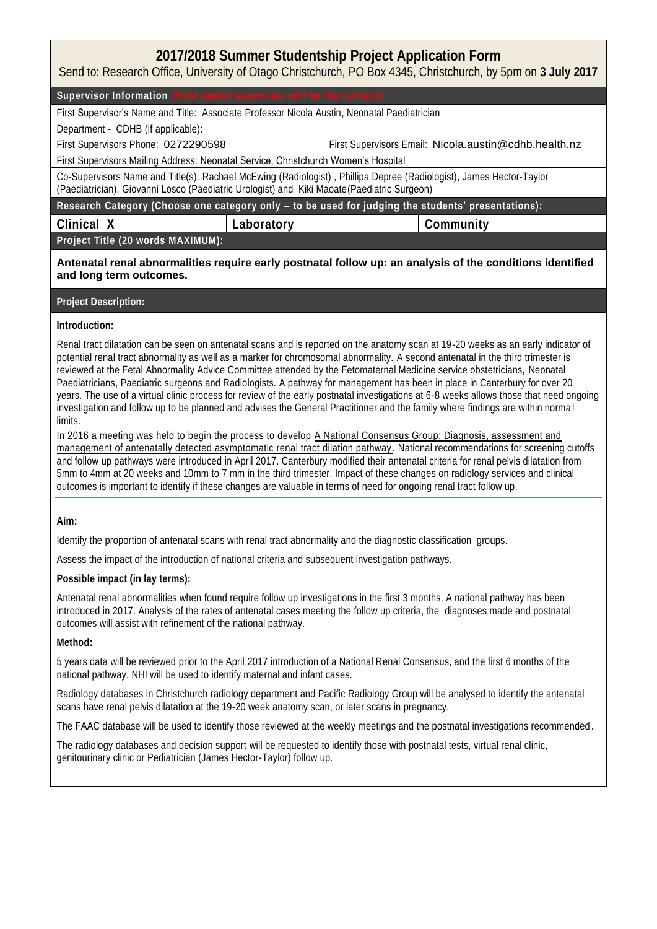# **2017/2018 Summer Studentship Project Application Form**

Send to: Research Office, University of Otago Christchurch, PO Box 4345, Christchurch, by 5pm on **3 July 2017**

### Supervisor Information

First Supervisor's Name and Title: Associate Professor Nicola Austin, Neonatal Paediatrician

## Department - CDHB (if applicable):

First Supervisors Phone: 0272290598 First Supervisors Email: Nicola.austin@cdhb.health.nz

First Supervisors Mailing Address: Neonatal Service, Christchurch Women's Hospital

Co-Supervisors Name and Title(s): Rachael McEwing (Radiologist), Phillipa Depree (Radiologist), James Hector-Taylor (Paediatrician), Giovanni Losco (Paediatric Urologist) and Kiki Maoate(Paediatric Surgeon)

**Research Category (Choose one category only – to be used for judging the students' presentations):**

**Clinical X Laboratory Community** 

**Project Title (20 words MAXIMUM):**

**Antenatal renal abnormalities require early postnatal follow up: an analysis of the conditions identified and long term outcomes.** 

# **Project Description:**

### **Introduction:**

Renal tract dilatation can be seen on antenatal scans and is reported on the anatomy scan at 19-20 weeks as an early indicator of potential renal tract abnormality as well as a marker for chromosomal abnormality. A second antenatal in the third trimester is reviewed at the Fetal Abnormality Advice Committee attended by the Fetomaternal Medicine service obstetricians, Neonatal Paediatricians, Paediatric surgeons and Radiologists. A pathway for management has been in place in Canterbury for over 20 years. The use of a virtual clinic process for review of the early postnatal investigations at 6-8 weeks allows those that need ongoing investigation and follow up to be planned and advises the General Practitioner and the family where findings are within norma l limits.

In 2016 a meeting was held to begin the process to develop A National Consensus Group: Diagnosis, assessment and management of antenatally detected asymptomatic renal tract dilation pathway . National recommendations for screening cutoffs and follow up pathways were introduced in April 2017. Canterbury modified their antenatal criteria for renal pelvis dilatation from 5mm to 4mm at 20 weeks and 10mm to 7 mm in the third trimester. Impact of these changes on radiology services and clinical outcomes is important to identify if these changes are valuable in terms of need for ongoing renal tract follow up.

**Aim:**

Identify the proportion of antenatal scans with renal tract abnormality and the diagnostic classification groups.

Assess the impact of the introduction of national criteria and subsequent investigation pathways.

**Possible impact (in lay terms):**

Antenatal renal abnormalities when found require follow up investigations in the first 3 months. A national pathway has been introduced in 2017. Analysis of the rates of antenatal cases meeting the follow up criteria, the diagnoses made and postnatal outcomes will assist with refinement of the national pathway.

**Method:**

5 years data will be reviewed prior to the April 2017 introduction of a National Renal Consensus, and the first 6 months of the national pathway. NHI will be used to identify maternal and infant cases.

Radiology databases in Christchurch radiology department and Pacific Radiology Group will be analysed to identify the antenatal scans have renal pelvis dilatation at the 19-20 week anatomy scan, or later scans in pregnancy.

The FAAC database will be used to identify those reviewed at the weekly meetings and the postnatal investigations recommended .

The radiology databases and decision support will be requested to identify those with postnatal tests, virtual renal clinic, genitourinary clinic or Pediatrician (James Hector-Taylor) follow up.